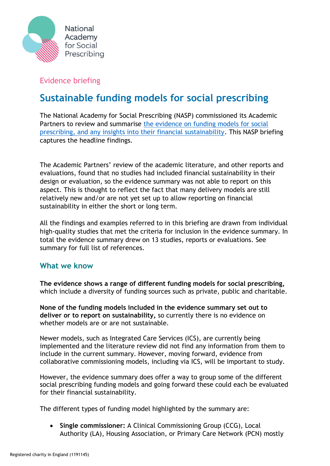

## Evidence briefing

## **Sustainable funding models for social prescribing**

The National Academy for Social Prescribing (NASP) commissioned its Academic Partners to review and summarise the evidence on funding models for social [prescribing, and any insights into their financial sustainability.](https://socialprescribingacademy.org.uk/wp-content/uploads/2022/03/Evidence-summary-summary-models.pdf) This NASP briefing captures the headline findings.

The Academic Partners' review of the academic literature, and other reports and evaluations, found that no studies had included financial sustainability in their design or evaluation, so the evidence summary was not able to report on this aspect. This is thought to reflect the fact that many delivery models are still relatively new and/or are not yet set up to allow reporting on financial sustainability in either the short or long term.

All the findings and examples referred to in this briefing are drawn from individual high-quality studies that met the criteria for inclusion in the evidence summary. In total the evidence summary drew on 13 studies, reports or evaluations. See summary for full list of references.

## **What we know**

**The evidence shows a range of different funding models for social prescribing,**  which include a diversity of funding sources such as private, public and charitable.

**None of the funding models included in the evidence summary set out to deliver or to report on sustainability,** so currently there is no evidence on whether models are or are not sustainable.

Newer models, such as Integrated Care Services (ICS), are currently being implemented and the literature review did not find any information from them to include in the current summary. However, moving forward, evidence from collaborative commissioning models, including via ICS, will be important to study.

However, the evidence summary does offer a way to group some of the different social prescribing funding models and going forward these could each be evaluated for their financial sustainability.

The different types of funding model highlighted by the summary are:

• **Single commissioner:** A Clinical Commissioning Group (CCG), Local Authority (LA), Housing Association, or Primary Care Network (PCN) mostly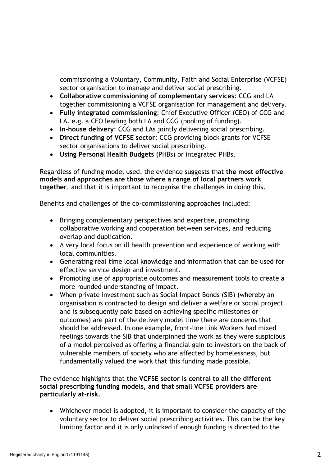commissioning a Voluntary, Community, Faith and Social Enterprise (VCFSE) sector organisation to manage and deliver social prescribing.

- **Collaborative commissioning of complementary services**: CCG and LA together commissioning a VCFSE organisation for management and delivery.
- **Fully integrated commissioning**: Chief Executive Officer (CEO) of CCG and LA. e.g. a CEO leading both LA and CCG (pooling of funding).
- **In-house delivery**: CCG and LAs jointly delivering social prescribing.
- **Direct funding of VCFSE sector**: CCG providing block grants for VCFSE sector organisations to deliver social prescribing.
- **Using Personal Health Budgets** (PHBs) or integrated PHBs.

Regardless of funding model used, the evidence suggests that **the most effective models and approaches are those where a range of local partners work together**, and that it is important to recognise the challenges in doing this.

Benefits and challenges of the co-commissioning approaches included:

- Bringing complementary perspectives and expertise, promoting collaborative working and cooperation between services, and reducing overlap and duplication.
- A very local focus on ill health prevention and experience of working with local communities.
- Generating real time local knowledge and information that can be used for effective service design and investment.
- Promoting use of appropriate outcomes and measurement tools to create a more rounded understanding of impact.
- When private investment such as Social Impact Bonds (SIB) (whereby an organisation is contracted to design and deliver a welfare or social project and is subsequently paid based on achieving specific milestones or outcomes) are part of the delivery model time there are concerns that should be addressed. In one example, front-line Link Workers had mixed feelings towards the SIB that underpinned the work as they were suspicious of a model perceived as offering a financial gain to investors on the back of vulnerable members of society who are affected by homelessness, but fundamentally valued the work that this funding made possible.

The evidence highlights that **the VCFSE sector is central to all the different social prescribing funding models, and that small VCFSE providers are particularly at-risk.**

• Whichever model is adopted, it is important to consider the capacity of the voluntary sector to deliver social prescribing activities. This can be the key limiting factor and it is only unlocked if enough funding is directed to the